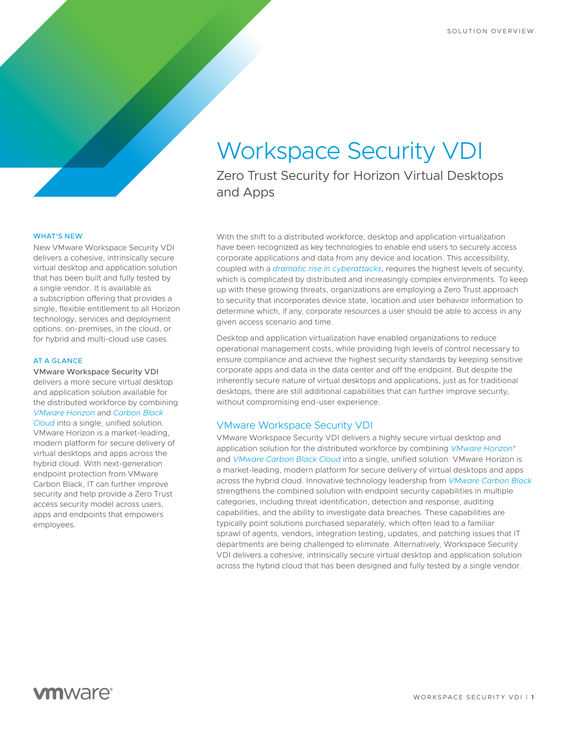# Workspace Security VDI

Zero Trust Security for Horizon Virtual Desktops and Apps

#### WHAT'S NEW

New VMware Workspace Security VDI delivers a cohesive, intrinsically secure virtual desktop and application solution that has been built and fully tested by a single vendor. It is available as a subscription offering that provides a single, flexible entitlement to all Horizon technology, services and deployment options: on-premises, in the cloud, or for hybrid and multi-cloud use cases.

### AT A GLANCE

VMware Workspace Security VDI delivers a more secure virtual desktop and application solution available for the distributed workforce by combining *VMware Horizon* and *Carbon Black Cloud* into a single, unified solution. VMware Horizon is a market-leading, modern platform for secure delivery of virtual desktops and apps across the hybrid cloud. With next-generation endpoint protection from VMware Carbon Black, IT can further improve security and help provide a Zero Trust access security model across users, apps and endpoints that empowers employees.

With the shift to a distributed workforce, desktop and application virtualization have been recognized as key technologies to enable end users to securely access corporate applications and data from any device and location. This accessibility, coupled with a *dramatic rise in cyberattacks*, requires the highest levels of security, which is complicated by distributed and increasingly complex environments. To keep up with these growing threats, organizations are employing a Zero Trust approach to security that incorporates device state, location and user behavior information to determine which, if any, corporate resources a user should be able to access in any given access scenario and time.

Desktop and application virtualization have enabled organizations to reduce operational management costs, while providing high levels of control necessary to ensure compliance and achieve the highest security standards by keeping sensitive corporate apps and data in the data center and off the endpoint. But despite the inherently secure nature of virtual desktops and applications, just as for traditional desktops, there are still additional capabilities that can further improve security, without compromising end-user experience.

### VMware Workspace Security VDI

VMware Workspace Security VDI delivers a highly secure virtual desktop and application solution for the distributed workforce by combining *VMware Horizon*® and *VMware Carbon Black Cloud* into a single, unified solution. VMware Horizon is a market-leading, modern platform for secure delivery of virtual desktops and apps across the hybrid cloud. Innovative technology leadership from *VMware Carbon Black* strengthens the combined solution with endpoint security capabilities in multiple categories, including threat identification, detection and response, auditing capabilities, and the ability to investigate data breaches. These capabilities are typically point solutions purchased separately, which often lead to a familiar sprawl of agents, vendors, integration testing, updates, and patching issues that IT departments are being challenged to eliminate. Alternatively, Workspace Security VDI delivers a cohesive, intrinsically secure virtual desktop and application solution across the hybrid cloud that has been designed and fully tested by a single vendor.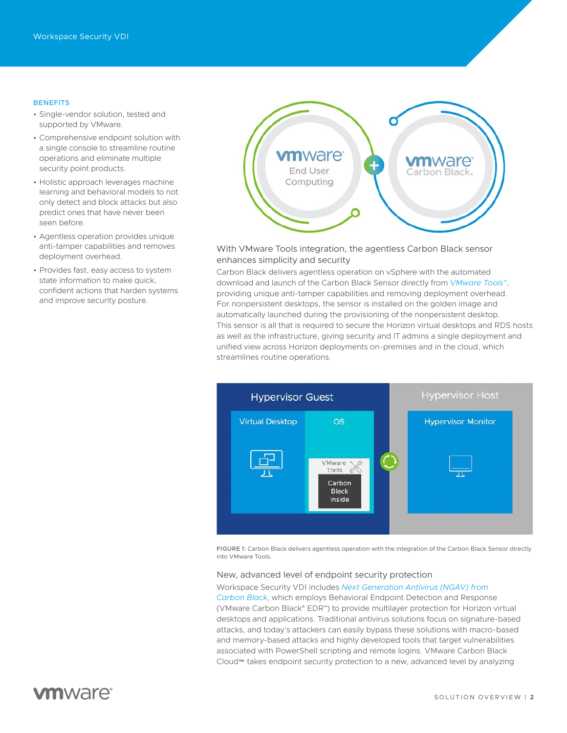### **BENEFITS**

- Single-vendor solution, tested and supported by VMware.
- Comprehensive endpoint solution with a single console to streamline routine operations and eliminate multiple security point products.
- Holistic approach leverages machine learning and behavioral models to not only detect and block attacks but also predict ones that have never been seen before.
- Agentless operation provides unique anti-tamper capabilities and removes deployment overhead.
- Provides fast, easy access to system state information to make quick, confident actions that harden systems and improve security posture.



### With VMware Tools integration, the agentless Carbon Black sensor enhances simplicity and security

Carbon Black delivers agentless operation on vSphere with the automated download and launch of the Carbon Black Sensor directly from *VMware Tools*™, providing unique anti-tamper capabilities and removing deployment overhead. For nonpersistent desktops, the sensor is installed on the golden image and automatically launched during the provisioning of the nonpersistent desktop. This sensor is all that is required to secure the Horizon virtual desktops and RDS hosts as well as the infrastructure, giving security and IT admins a single deployment and unified view across Horizon deployments on-premises and in the cloud, which streamlines routine operations.



FIGURE 1: Carbon Black delivers agentless operation with the integration of the Carbon Black Sensor directly into VMware Tools.

### New, advanced level of endpoint security protection

#### Workspace Security VDI includes *Next Generation Antivirus (NGAV) from*

*Carbon Black*, which employs Behavioral Endpoint Detection and Response (VMware Carbon Black® EDR™) to provide multilayer protection for Horizon virtual desktops and applications. Traditional antivirus solutions focus on signature-based attacks, and today's attackers can easily bypass these solutions with macro-based and memory-based attacks and highly developed tools that target vulnerabilities associated with PowerShell scripting and remote logins. VMware Carbon Black Cloud™ takes endpoint security protection to a new, advanced level by analyzing

# **vm**ware<sup>®</sup>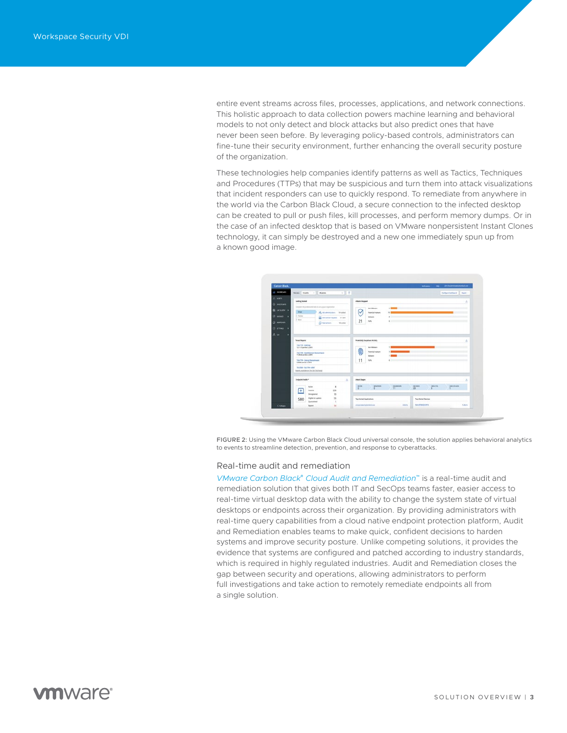entire event streams across files, processes, applications, and network connections. This holistic approach to data collection powers machine learning and behavioral models to not only detect and block attacks but also predict ones that have never been seen before. By leveraging policy-based controls, administrators can fine-tune their security environment, further enhancing the overall security posture of the organization.

These technologies help companies identify patterns as well as Tactics, Techniques and Procedures (TTPs) that may be suspicious and turn them into attack visualizations that incident responders can use to quickly respond. To remediate from anywhere in the world via the Carbon Black Cloud, a secure connection to the infected desktop can be created to pull or push files, kill processes, and perform memory dumps. Or in the case of an infected desktop that is based on VMware nonpersistent Instant Clones technology, it can simply be destroyed and a new one immediately spun up from a known good image.



FIGURE 2: Using the VMware Carbon Black Cloud universal console, the solution applies behavioral analytics to events to streamline detection, prevention, and response to cyberattacks.

#### Real-time audit and remediation

*VMware Carbon Black*® *Cloud Audit and Remediation*™ is a real-time audit and remediation solution that gives both IT and SecOps teams faster, easier access to real-time virtual desktop data with the ability to change the system state of virtual desktops or endpoints across their organization. By providing administrators with real-time query capabilities from a cloud native endpoint protection platform, Audit and Remediation enables teams to make quick, confident decisions to harden systems and improve security posture. Unlike competing solutions, it provides the evidence that systems are configured and patched according to industry standards, which is required in highly regulated industries. Audit and Remediation closes the gap between security and operations, allowing administrators to perform full investigations and take action to remotely remediate endpoints all from a single solution.

## **m**ware<sup>®</sup>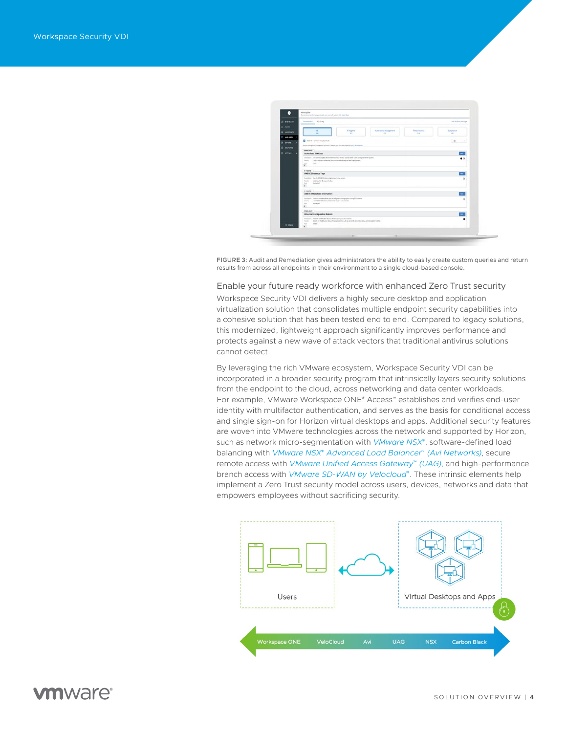

FIGURE 3: Audit and Remediation gives administrators the ability to easily create custom queries and return results from across all endpoints in their environment to a single cloud-based console.

### Enable your future ready workforce with enhanced Zero Trust security

Workspace Security VDI delivers a highly secure desktop and application virtualization solution that consolidates multiple endpoint security capabilities into a cohesive solution that has been tested end to end. Compared to legacy solutions, this modernized, lightweight approach significantly improves performance and protects against a new wave of attack vectors that traditional antivirus solutions cannot detect.

By leveraging the rich VMware ecosystem, Workspace Security VDI can be incorporated in a broader security program that intrinsically layers security solutions from the endpoint to the cloud, across networking and data center workloads. For example, VMware Workspace ONE® Access™ establishes and verifies end-user identity with multifactor authentication, and serves as the basis for conditional access and single sign-on for Horizon virtual desktops and apps. Additional security features are woven into VMware technologies across the network and supported by Horizon, such as network micro-segmentation with *VMware NSX*®, software-defined load balancing with *VMware NSX*® *Advanced Load Balancer*™ *(Avi Networks)*, secure remote access with *VMware Unified Access Gateway*™ *(UAG)*, and high-performance branch access with *VMware SD-WAN by Velocloud*®. These intrinsic elements help implement a Zero Trust security model across users, devices, networks and data that empowers employees without sacrificing security.



## **m**ware<sup>®</sup>